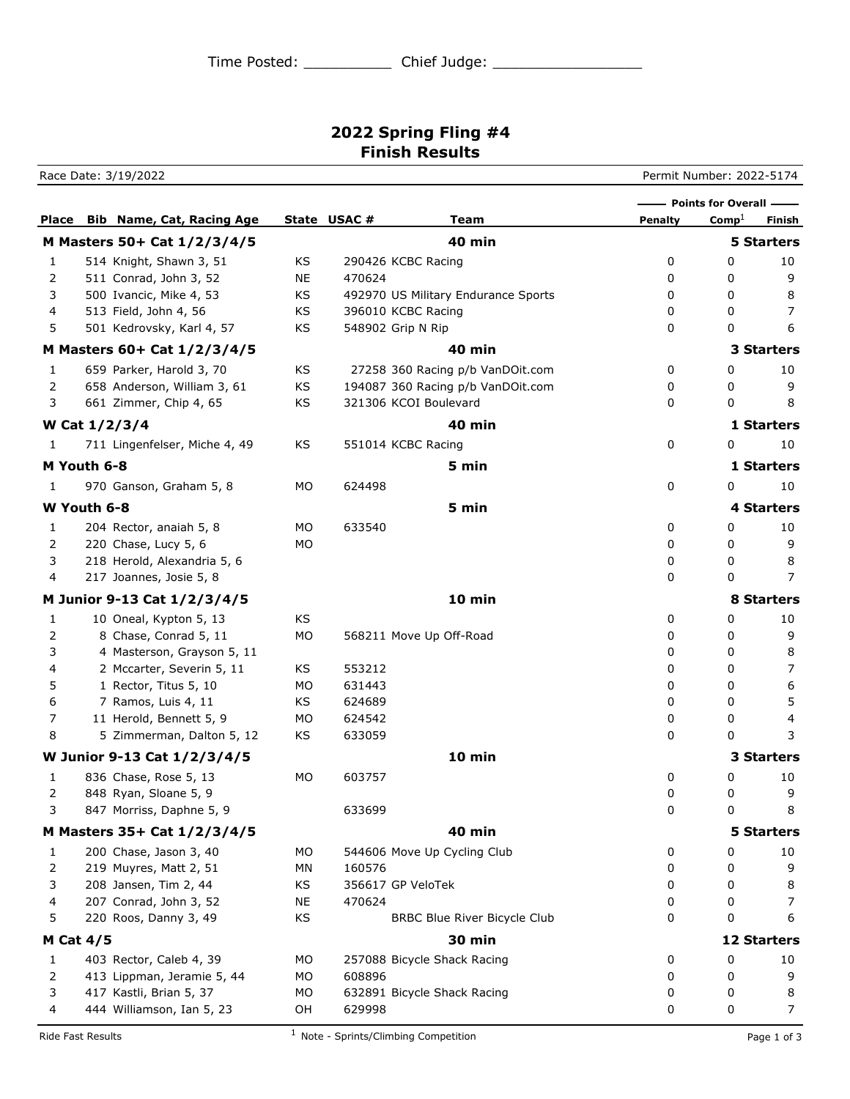## **2022 Spring Fling #4 Finish Results**

Race Date: 3/19/2022 Permit Number: 2022-5174 **Place Bib Name, Cat, Racing Age State USAC # 7 Team Penalty** Comp<sup>1</sup> Finish **Points for Overall M Masters 50+ Cat 1/2/3/4/5 40 min 5 Starters** 1 514 Knight, Shawn 3, 51 KS 290426 KCBC Racing 200 0 0 10 2 511 Conrad, John 3, 52 NE 470624 0 0 9 3 500 Ivancic, Mike 4, 53 KS 492970 US Military Endurance Sports 6 0 0 8 4 513 Field, John 4, 56 KS 396010 KCBC Racing 0 0 7 5 501 Kedrovsky, Karl 4, 57 KS 548902 Grip N Rip 0 0 6 6 **M Masters 60+ Cat 1/2/3/4/5 40 min 3 Starters** 1 659 Parker, Harold 3, 70 KS 27258 360 Racing p/b VanDOit.com 0 0 10 2 658 Anderson, William 3, 61 KS 194087 360 Racing p/b VanDOit.com 0 0 0 9 3 661 Zimmer, Chip 4, 65 KS 321306 KCOI Boulevard 0 0 8 **W Cat 1/2/3/4 40 min 1 Starters** 1 711 Lingenfelser, Miche 4, 49 KS 551014 KCBC Racing 0 0 10 **M Youth 6-8 5 min 1 Starters** 1 970 Ganson, Graham 5, 8 MO 624498 0 0 10 **W Youth 6-8 5 min 4 Starters** 1 204 Rector, anaiah 5, 8 MO 633540 0 0 10 2 220 Chase, Lucy 5, 6 MO 0 0 0 9 3 218 Herold, Alexandria 5, 6 0 0 8 4 217 Joannes, Josie 5, 8 0 0 7 **M Junior 9-13 Cat 1/2/3/4/5 10 min 8 Starters** 1 10 Oneal, Kypton 5, 13 KS 0 0 10 2 8 Chase, Conrad 5, 11 MO 568211 Move Up Off-Road 0 0 9 3 4 Masterson, Grayson 5, 11 and 10 and 10 and 10 and 10 and 10 and 10 and 10 and 10 and 10 and 10 and 10 and 10 and 10 and 10 and 10 and 10 and 10 and 10 and 10 and 10 and 10 and 10 and 10 and 10 and 10 and 10 and 10 and 4 2 Mccarter, Severin 5, 11 KS 553212 0 0 7 5 1 Rector, Titus 5, 10 MO 631443 0 0 6 6 7 Ramos, Luis 4, 11 KS 624689 0 0 5 7 11 Herold, Bennett 5, 9 MO 624542 0 0 4 8 5 Zimmerman, Dalton 5, 12 KS 633059 0 0 3 **W Junior 9-13 Cat 1/2/3/4/5 10 min 3 Starters** 1 836 Chase, Rose 5, 13 MO 603757 0 0 10 2 848 Ryan, Sloane 5, 9 0 0 9 3 847 Morriss, Daphne 5, 9 633699 0 0 8 **M Masters 35+ Cat 1/2/3/4/5 40 min 5 Starters** 1 200 Chase, Jason 3, 40 MO 544606 Move Up Cycling Club 0 0 10 2 219 Muyres, Matt 2, 51 MN 160576 0 0 9 3 208 Jansen, Tim 2, 44 KS 356617 GP VeloTek 0 0 8 4 207 Conrad, John 3, 52 NE 470624 0 0 7 5 220 Roos, Danny 3, 49 KS BRBC Blue River Bicycle Club 0 0 6 **M Cat 4/5 30 min 12 Starters** 1 403 Rector, Caleb 4, 39 MO 257088 Bicycle Shack Racing 0 0 10 2 413 Lippman, Jeramie 5, 44 MO 608896 0 0 9 3 417 Kastli, Brian 5, 37 MO 632891 Bicycle Shack Racing 0 0 8 4 444 Williamson, Ian 5, 23 0H 629998 0 0 0 7

Ride Fast Results **Page 1 of 3** 1 Note - Sprints/Climbing Competition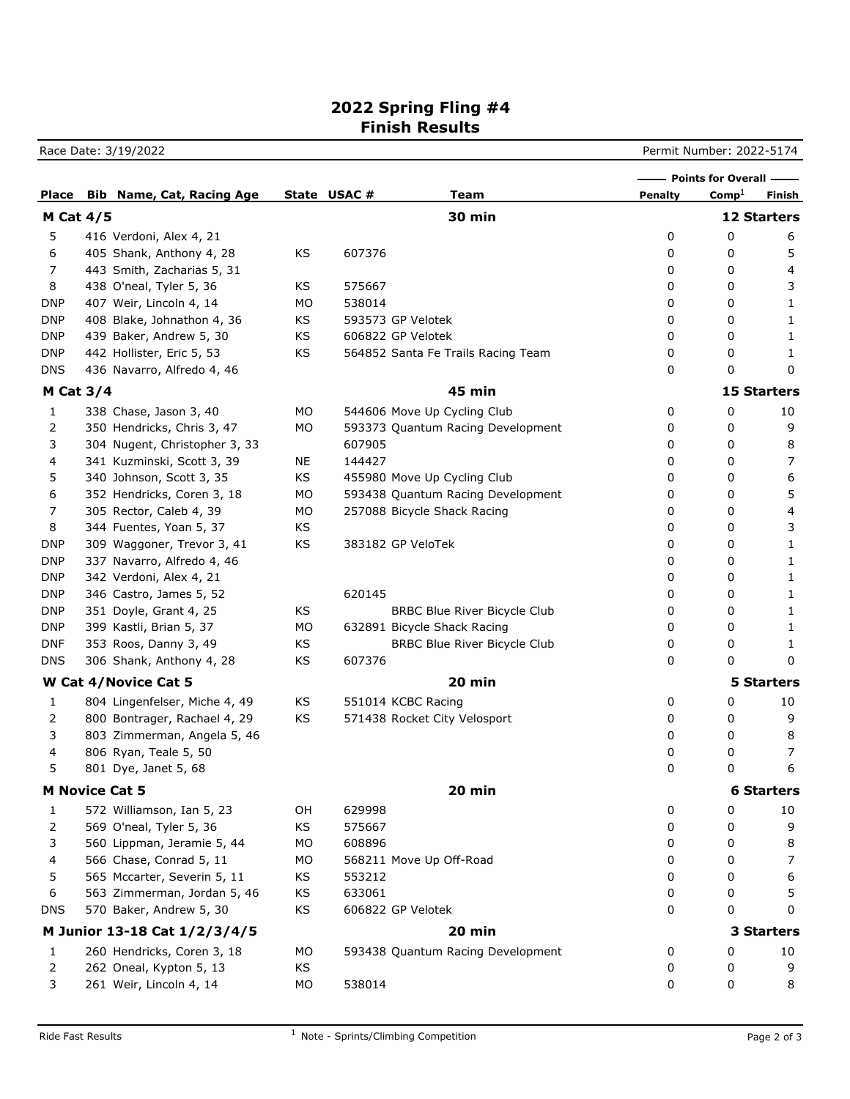## **2022 Spring Fling #4 Finish Results**

Race Date: 3/19/2022 **Permit Number: 2022-5174** 

|                       |  |                                        |    |             |                                     | Points for Overall - |                   |                    |
|-----------------------|--|----------------------------------------|----|-------------|-------------------------------------|----------------------|-------------------|--------------------|
|                       |  | <b>Place</b> Bib Name, Cat, Racing Age |    | State USAC# | Team                                | <b>Penalty</b>       | $\mathrm{Comp}^1$ | Finish             |
| <b>M Cat 4/5</b>      |  |                                        |    |             | <b>30 min</b>                       |                      |                   | <b>12 Starters</b> |
| 5                     |  | 416 Verdoni, Alex 4, 21                |    |             |                                     | 0                    | 0                 | 6                  |
| 6                     |  | 405 Shank, Anthony 4, 28               | KS | 607376      |                                     | 0                    | 0                 | 5                  |
| 7                     |  | 443 Smith, Zacharias 5, 31             |    |             |                                     | 0                    | 0                 | 4                  |
| 8                     |  | 438 O'neal, Tyler 5, 36                | KS | 575667      |                                     | 0                    | 0                 | 3                  |
| <b>DNP</b>            |  | 407 Weir, Lincoln 4, 14                | МO | 538014      |                                     | 0                    | 0                 | 1                  |
| <b>DNP</b>            |  | 408 Blake, Johnathon 4, 36             | KS |             | 593573 GP Velotek                   | 0                    | 0                 | 1                  |
| <b>DNP</b>            |  | 439 Baker, Andrew 5, 30                | KS |             | 606822 GP Velotek                   | 0                    | 0                 | 1                  |
| <b>DNP</b>            |  | 442 Hollister, Eric 5, 53              | KS |             | 564852 Santa Fe Trails Racing Team  | 0                    | 0                 | 1                  |
| <b>DNS</b>            |  | 436 Navarro, Alfredo 4, 46             |    |             |                                     | 0                    | 0                 | 0                  |
| M Cat $3/4$           |  |                                        |    |             | <b>45 min</b>                       |                      |                   | <b>15 Starters</b> |
| 1                     |  | 338 Chase, Jason 3, 40                 | МO |             | 544606 Move Up Cycling Club         | 0                    | 0                 | 10                 |
| 2                     |  | 350 Hendricks, Chris 3, 47             | МO |             | 593373 Quantum Racing Development   | 0                    | 0                 | 9                  |
| 3                     |  | 304 Nugent, Christopher 3, 33          |    | 607905      |                                     | 0                    | 0                 | 8                  |
| 4                     |  | 341 Kuzminski, Scott 3, 39             | NE | 144427      |                                     | 0                    | 0                 | 7                  |
| 5                     |  | 340 Johnson, Scott 3, 35               | KS |             | 455980 Move Up Cycling Club         | 0                    | 0                 | 6                  |
| 6                     |  | 352 Hendricks, Coren 3, 18             | МO |             | 593438 Quantum Racing Development   | 0                    | 0                 | 5                  |
| 7                     |  | 305 Rector, Caleb 4, 39                | МO |             | 257088 Bicycle Shack Racing         | 0                    | 0                 | 4                  |
| 8                     |  | 344 Fuentes, Yoan 5, 37                | KS |             |                                     | 0                    | 0                 | 3                  |
| <b>DNP</b>            |  | 309 Waggoner, Trevor 3, 41             | KS |             | 383182 GP VeloTek                   | 0                    | 0                 | 1                  |
| <b>DNP</b>            |  | 337 Navarro, Alfredo 4, 46             |    |             |                                     | 0                    | 0                 | 1                  |
| <b>DNP</b>            |  | 342 Verdoni, Alex 4, 21                |    |             |                                     | 0                    | 0                 | 1                  |
| <b>DNP</b>            |  | 346 Castro, James 5, 52                |    | 620145      |                                     | 0                    | 0                 | 1                  |
| <b>DNP</b>            |  | 351 Doyle, Grant 4, 25                 | KS |             | <b>BRBC Blue River Bicycle Club</b> | 0                    | 0                 | 1                  |
| <b>DNP</b>            |  | 399 Kastli, Brian 5, 37                | МO |             | 632891 Bicycle Shack Racing         | 0                    | 0                 | 1                  |
| <b>DNF</b>            |  | 353 Roos, Danny 3, 49                  | KS |             | <b>BRBC Blue River Bicycle Club</b> | 0                    | 0                 | 1                  |
| <b>DNS</b>            |  | 306 Shank, Anthony 4, 28               | KS | 607376      |                                     | 0                    | 0                 | 0                  |
| W Cat 4/Novice Cat 5  |  |                                        |    |             | 20 min                              |                      |                   | <b>5 Starters</b>  |
| 1                     |  | 804 Lingenfelser, Miche 4, 49          | KS |             | 551014 KCBC Racing                  | 0                    | 0                 | 10                 |
| 2                     |  | 800 Bontrager, Rachael 4, 29           | KS |             | 571438 Rocket City Velosport        | 0                    | 0                 | 9                  |
| 3                     |  | 803 Zimmerman, Angela 5, 46            |    |             |                                     | 0                    | 0                 | 8                  |
| 4                     |  | 806 Ryan, Teale 5, 50                  |    |             |                                     | 0                    | 0                 | 7                  |
| 5                     |  | 801 Dye, Janet 5, 68                   |    |             |                                     | 0                    | 0                 | 6                  |
| <b>M Novice Cat 5</b> |  |                                        |    |             | 20 min                              |                      |                   | <b>6 Starters</b>  |
| 1                     |  | 572 Williamson, Ian 5, 23              | OH | 629998      |                                     | 0                    | 0                 | 10                 |
| 2                     |  | 569 O'neal, Tyler 5, 36                | KS | 575667      |                                     | 0                    | 0                 | 9                  |
| 3                     |  | 560 Lippman, Jeramie 5, 44             | MO | 608896      |                                     | 0                    | 0                 | 8                  |
| 4                     |  | 566 Chase, Conrad 5, 11                | MO |             | 568211 Move Up Off-Road             | 0                    | 0                 | 7                  |
| 5                     |  | 565 Mccarter, Severin 5, 11            | KS | 553212      |                                     | 0                    | 0                 | 6                  |
| 6                     |  | 563 Zimmerman, Jordan 5, 46            | KS | 633061      |                                     | 0                    | 0                 | 5                  |
| <b>DNS</b>            |  | 570 Baker, Andrew 5, 30                | KS |             | 606822 GP Velotek                   | 0                    | 0                 | 0                  |
|                       |  | M Junior 13-18 Cat 1/2/3/4/5           |    |             | 20 min                              |                      |                   | 3 Starters         |
| 1                     |  | 260 Hendricks, Coren 3, 18             | MO |             | 593438 Quantum Racing Development   | 0                    | 0                 | 10                 |
| 2                     |  | 262 Oneal, Kypton 5, 13                | KS |             |                                     | 0                    | 0                 | 9                  |
| 3                     |  | 261 Weir, Lincoln 4, 14                | MO | 538014      |                                     | 0                    | 0                 | 8                  |
|                       |  |                                        |    |             |                                     |                      |                   |                    |